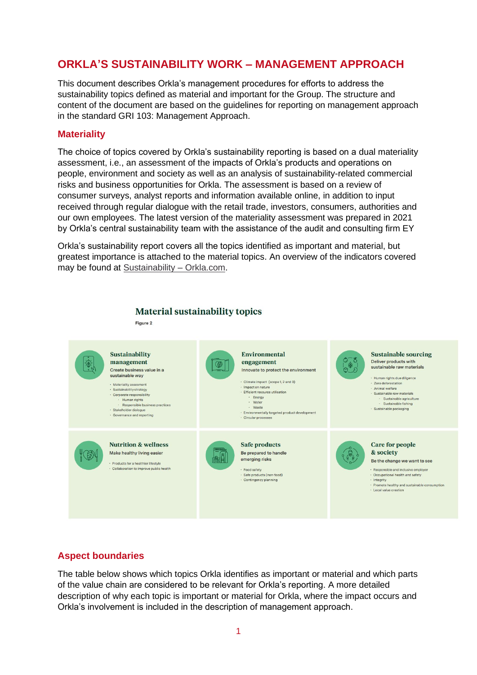# **ORKLA'S SUSTAINABILITY WORK – MANAGEMENT APPROACH**

This document describes Orkla's management procedures for efforts to address the sustainability topics defined as material and important for the Group. The structure and content of the document are based on the guidelines for reporting on management approach in the standard GRI 103: Management Approach.

## **Materiality**

The choice of topics covered by Orkla's sustainability reporting is based on a dual materiality assessment, i.e., an assessment of the impacts of Orkla's products and operations on people, environment and society as well as an analysis of sustainability-related commercial risks and business opportunities for Orkla. The assessment is based on a review of consumer surveys, analyst reports and information available online, in addition to input received through regular dialogue with the retail trade, investors, consumers, authorities and our own employees. The latest version of the materiality assessment was prepared in 2021 by Orkla's central sustainability team with the assistance of the audit and consulting firm EY

Orkla's sustainability report covers all the topics identified as important and material, but greatest importance is attached to the material topics. An overview of the indicators covered may be found at [Sustainability –](https://www.orkla.com/sustainability/) Orkla.com.



## **Aspect boundaries**

The table below shows which topics Orkla identifies as important or material and which parts of the value chain are considered to be relevant for Orkla's reporting. A more detailed description of why each topic is important or material for Orkla, where the impact occurs and Orkla's involvement is included in the description of management approach.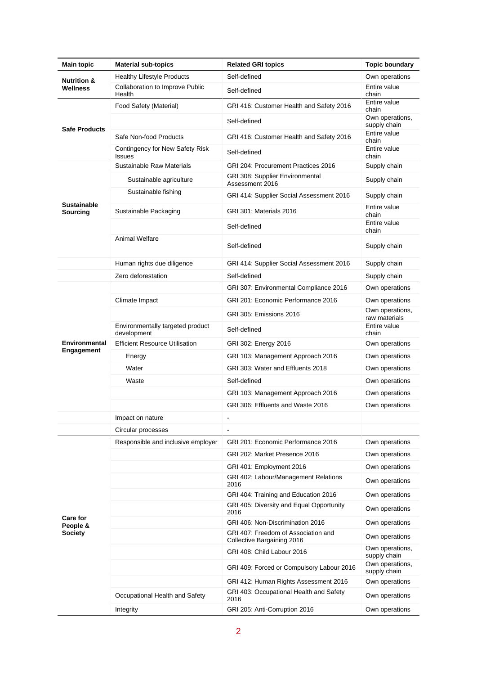| <b>Main topic</b>                      | <b>Material sub-topics</b>                      | <b>Related GRI topics</b>                                         | <b>Topic boundary</b>            |
|----------------------------------------|-------------------------------------------------|-------------------------------------------------------------------|----------------------------------|
| <b>Nutrition &amp;</b><br>Wellness     | <b>Healthy Lifestyle Products</b>               | Self-defined                                                      | Own operations                   |
|                                        | Collaboration to Improve Public<br>Health       | Self-defined                                                      | Entire value<br>chain            |
| <b>Safe Products</b>                   | Food Safety (Material)                          | GRI 416: Customer Health and Safety 2016                          | Entire value<br>chain            |
|                                        |                                                 | Self-defined                                                      | Own operations,<br>supply chain  |
|                                        | Safe Non-food Products                          | GRI 416: Customer Health and Safety 2016                          | Entire value<br>chain            |
|                                        | Contingency for New Safety Risk<br>Issues       | Self-defined                                                      | Entire value<br>chain            |
| Sustainable<br>Sourcing                | Sustainable Raw Materials                       | GRI 204: Procurement Practices 2016                               | Supply chain                     |
|                                        | Sustainable agriculture                         | GRI 308: Supplier Environmental<br>Assessment 2016                | Supply chain                     |
|                                        | Sustainable fishing                             | GRI 414: Supplier Social Assessment 2016                          | Supply chain                     |
|                                        | Sustainable Packaging                           | GRI 301: Materials 2016                                           | Entire value<br>chain            |
|                                        |                                                 | Self-defined                                                      | Entire value<br>chain            |
|                                        | <b>Animal Welfare</b>                           | Self-defined                                                      | Supply chain                     |
|                                        | Human rights due diligence                      | GRI 414: Supplier Social Assessment 2016                          | Supply chain                     |
|                                        | Zero deforestation                              | Self-defined                                                      | Supply chain                     |
|                                        |                                                 | GRI 307: Environmental Compliance 2016                            | Own operations                   |
|                                        | Climate Impact                                  | GRI 201: Economic Performance 2016                                | Own operations                   |
| Environmental<br><b>Engagement</b>     |                                                 | GRI 305: Emissions 2016                                           | Own operations,<br>raw materials |
|                                        | Environmentally targeted product<br>development | Self-defined                                                      | Entire value<br>chain            |
|                                        | <b>Efficient Resource Utilisation</b>           | GRI 302: Energy 2016                                              | Own operations                   |
|                                        | Energy                                          | GRI 103: Management Approach 2016                                 | Own operations                   |
|                                        | Water                                           | GRI 303: Water and Effluents 2018                                 | Own operations                   |
|                                        | Waste                                           | Self-defined                                                      | Own operations                   |
|                                        |                                                 | GRI 103: Management Approach 2016                                 | Own operations                   |
|                                        |                                                 | GRI 306: Effluents and Waste 2016                                 | Own operations                   |
|                                        | Impact on nature                                |                                                                   |                                  |
|                                        | Circular processes                              | $\overline{\phantom{a}}$                                          |                                  |
| <b>Care for</b><br>People &<br>Society | Responsible and inclusive employer              | GRI 201: Economic Performance 2016                                | Own operations                   |
|                                        |                                                 | GRI 202: Market Presence 2016                                     | Own operations                   |
|                                        |                                                 | GRI 401: Employment 2016                                          | Own operations                   |
|                                        |                                                 | GRI 402: Labour/Management Relations<br>2016                      | Own operations                   |
|                                        |                                                 | GRI 404: Training and Education 2016                              | Own operations                   |
|                                        |                                                 | GRI 405: Diversity and Equal Opportunity<br>2016                  | Own operations                   |
|                                        |                                                 | GRI 406: Non-Discrimination 2016                                  | Own operations                   |
|                                        |                                                 | GRI 407: Freedom of Association and<br>Collective Bargaining 2016 | Own operations                   |
|                                        |                                                 | GRI 408: Child Labour 2016                                        | Own operations,<br>supply chain  |
|                                        |                                                 | GRI 409: Forced or Compulsory Labour 2016                         | Own operations,<br>supply chain  |
|                                        |                                                 | GRI 412: Human Rights Assessment 2016                             | Own operations                   |
|                                        | Occupational Health and Safety                  | GRI 403: Occupational Health and Safety<br>2016                   | Own operations                   |
|                                        | Integrity                                       | GRI 205: Anti-Corruption 2016                                     | Own operations                   |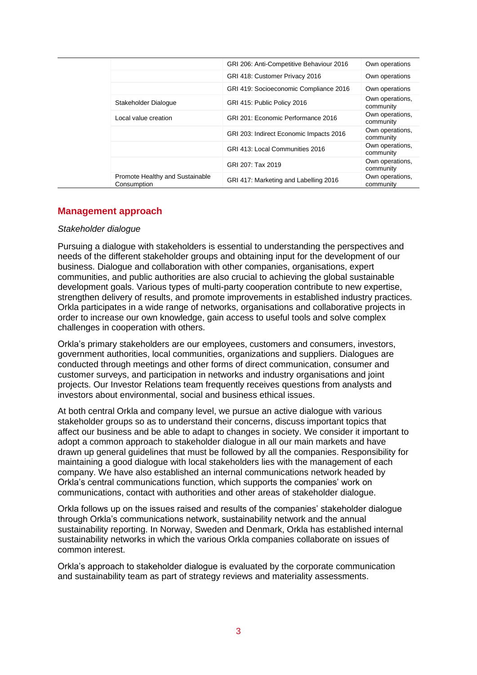|                                                | GRI 206: Anti-Competitive Behaviour 2016 | Own operations               |
|------------------------------------------------|------------------------------------------|------------------------------|
|                                                | GRI 418: Customer Privacy 2016           | Own operations               |
|                                                | GRI 419: Socioeconomic Compliance 2016   | Own operations               |
| Stakeholder Dialogue                           | GRI 415: Public Policy 2016              | Own operations.<br>community |
| Local value creation                           | GRI 201: Economic Performance 2016       | Own operations.<br>community |
|                                                | GRI 203: Indirect Economic Impacts 2016  | Own operations.<br>community |
|                                                | GRI 413: Local Communities 2016          | Own operations.<br>community |
|                                                | GRI 207: Tax 2019                        | Own operations.<br>community |
| Promote Healthy and Sustainable<br>Consumption | GRI 417: Marketing and Labelling 2016    | Own operations,<br>community |

#### **Management approach**

#### *Stakeholder dialogue*

Pursuing a dialogue with stakeholders is essential to understanding the perspectives and needs of the different stakeholder groups and obtaining input for the development of our business. Dialogue and collaboration with other companies, organisations, expert communities, and public authorities are also crucial to achieving the global sustainable development goals. Various types of multi-party cooperation contribute to new expertise, strengthen delivery of results, and promote improvements in established industry practices. Orkla participates in a wide range of networks, organisations and collaborative projects in order to increase our own knowledge, gain access to useful tools and solve complex challenges in cooperation with others.

Orkla's primary stakeholders are our employees, customers and consumers, investors, government authorities, local communities, organizations and suppliers. Dialogues are conducted through meetings and other forms of direct communication, consumer and customer surveys, and participation in networks and industry organisations and joint projects. Our Investor Relations team frequently receives questions from analysts and investors about environmental, social and business ethical issues.

At both central Orkla and company level, we pursue an active dialogue with various stakeholder groups so as to understand their concerns, discuss important topics that affect our business and be able to adapt to changes in society. We consider it important to adopt a common approach to stakeholder dialogue in all our main markets and have drawn up general guidelines that must be followed by all the companies. Responsibility for maintaining a good dialogue with local stakeholders lies with the management of each company. We have also established an internal communications network headed by Orkla's central communications function, which supports the companies' work on communications, contact with authorities and other areas of stakeholder dialogue.

Orkla follows up on the issues raised and results of the companies' stakeholder dialogue through Orkla's communications network, sustainability network and the annual sustainability reporting. In Norway, Sweden and Denmark, Orkla has established internal sustainability networks in which the various Orkla companies collaborate on issues of common interest.

Orkla's approach to stakeholder dialogue is evaluated by the corporate communication and sustainability team as part of strategy reviews and materiality assessments.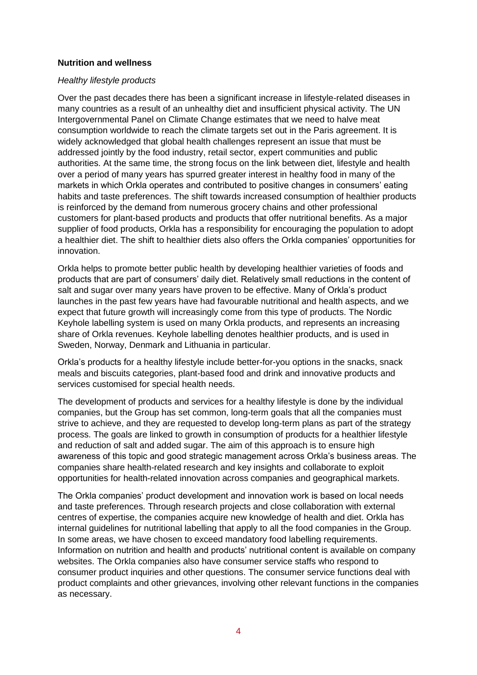#### **Nutrition and wellness**

#### *Healthy lifestyle products*

Over the past decades there has been a significant increase in lifestyle-related diseases in many countries as a result of an unhealthy diet and insufficient physical activity. The UN Intergovernmental Panel on Climate Change estimates that we need to halve meat consumption worldwide to reach the climate targets set out in the Paris agreement. It is widely acknowledged that global health challenges represent an issue that must be addressed jointly by the food industry, retail sector, expert communities and public authorities. At the same time, the strong focus on the link between diet, lifestyle and health over a period of many years has spurred greater interest in healthy food in many of the markets in which Orkla operates and contributed to positive changes in consumers' eating habits and taste preferences. The shift towards increased consumption of healthier products is reinforced by the demand from numerous grocery chains and other professional customers for plant-based products and products that offer nutritional benefits. As a major supplier of food products, Orkla has a responsibility for encouraging the population to adopt a healthier diet. The shift to healthier diets also offers the Orkla companies' opportunities for innovation.

Orkla helps to promote better public health by developing healthier varieties of foods and products that are part of consumers' daily diet. Relatively small reductions in the content of salt and sugar over many years have proven to be effective. Many of Orkla's product launches in the past few years have had favourable nutritional and health aspects, and we expect that future growth will increasingly come from this type of products. The Nordic Keyhole labelling system is used on many Orkla products, and represents an increasing share of Orkla revenues. Keyhole labelling denotes healthier products, and is used in Sweden, Norway, Denmark and Lithuania in particular.

Orkla's products for a healthy lifestyle include better-for-you options in the snacks, snack meals and biscuits categories, plant-based food and drink and innovative products and services customised for special health needs.

The development of products and services for a healthy lifestyle is done by the individual companies, but the Group has set common, long-term goals that all the companies must strive to achieve, and they are requested to develop long-term plans as part of the strategy process. The goals are linked to growth in consumption of products for a healthier lifestyle and reduction of salt and added sugar. The aim of this approach is to ensure high awareness of this topic and good strategic management across Orkla's business areas. The companies share health-related research and key insights and collaborate to exploit opportunities for health-related innovation across companies and geographical markets.

The Orkla companies' product development and innovation work is based on local needs and taste preferences. Through research projects and close collaboration with external centres of expertise, the companies acquire new knowledge of health and diet. Orkla has internal guidelines for nutritional labelling that apply to all the food companies in the Group. In some areas, we have chosen to exceed mandatory food labelling requirements. Information on nutrition and health and products' nutritional content is available on company websites. The Orkla companies also have consumer service staffs who respond to consumer product inquiries and other questions. The consumer service functions deal with product complaints and other grievances, involving other relevant functions in the companies as necessary.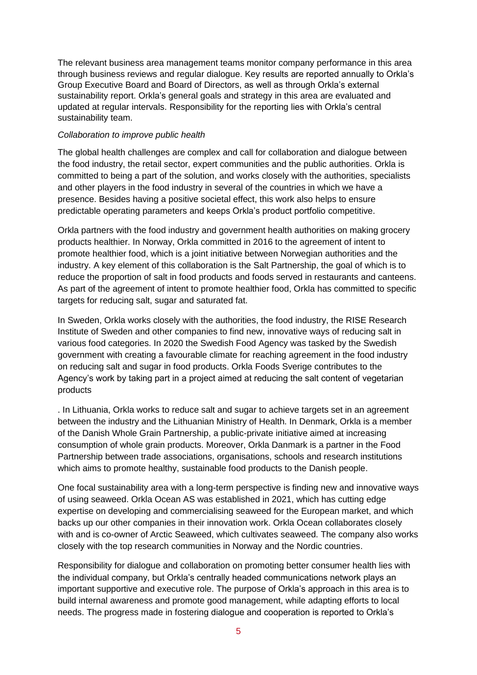The relevant business area management teams monitor company performance in this area through business reviews and regular dialogue. Key results are reported annually to Orkla's Group Executive Board and Board of Directors, as well as through Orkla's external sustainability report. Orkla's general goals and strategy in this area are evaluated and updated at regular intervals. Responsibility for the reporting lies with Orkla's central sustainability team.

#### *Collaboration to improve public health*

The global health challenges are complex and call for collaboration and dialogue between the food industry, the retail sector, expert communities and the public authorities. Orkla is committed to being a part of the solution, and works closely with the authorities, specialists and other players in the food industry in several of the countries in which we have a presence. Besides having a positive societal effect, this work also helps to ensure predictable operating parameters and keeps Orkla's product portfolio competitive.

Orkla partners with the food industry and government health authorities on making grocery products healthier. In Norway, Orkla committed in 2016 to the agreement of intent to promote healthier food, which is a joint initiative between Norwegian authorities and the industry. A key element of this collaboration is the Salt Partnership, the goal of which is to reduce the proportion of salt in food products and foods served in restaurants and canteens. As part of the agreement of intent to promote healthier food, Orkla has committed to specific targets for reducing salt, sugar and saturated fat.

In Sweden, Orkla works closely with the authorities, the food industry, the RISE Research Institute of Sweden and other companies to find new, innovative ways of reducing salt in various food categories. In 2020 the Swedish Food Agency was tasked by the Swedish government with creating a favourable climate for reaching agreement in the food industry on reducing salt and sugar in food products. Orkla Foods Sverige contributes to the Agency's work by taking part in a project aimed at reducing the salt content of vegetarian products

. In Lithuania, Orkla works to reduce salt and sugar to achieve targets set in an agreement between the industry and the Lithuanian Ministry of Health. In Denmark, Orkla is a member of the Danish Whole Grain Partnership, a public-private initiative aimed at increasing consumption of whole grain products. Moreover, Orkla Danmark is a partner in the Food Partnership between trade associations, organisations, schools and research institutions which aims to promote healthy, sustainable food products to the Danish people.

One focal sustainability area with a long-term perspective is finding new and innovative ways of using seaweed. Orkla Ocean AS was established in 2021, which has cutting edge expertise on developing and commercialising seaweed for the European market, and which backs up our other companies in their innovation work. Orkla Ocean collaborates closely with and is co-owner of Arctic Seaweed, which cultivates seaweed. The company also works closely with the top research communities in Norway and the Nordic countries.

Responsibility for dialogue and collaboration on promoting better consumer health lies with the individual company, but Orkla's centrally headed communications network plays an important supportive and executive role. The purpose of Orkla's approach in this area is to build internal awareness and promote good management, while adapting efforts to local needs. The progress made in fostering dialogue and cooperation is reported to Orkla's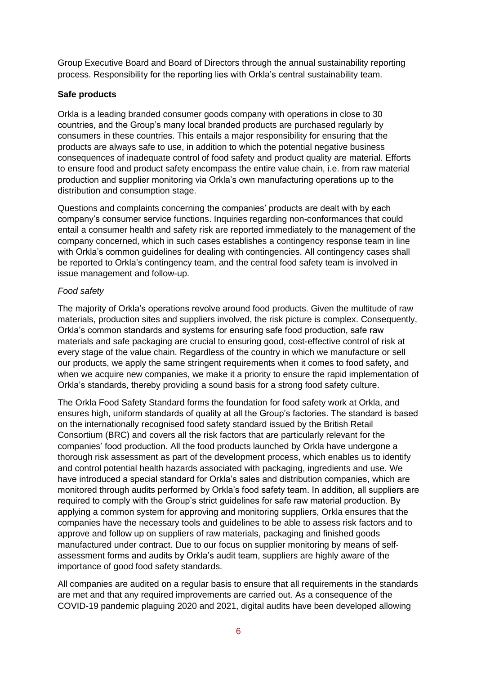Group Executive Board and Board of Directors through the annual sustainability reporting process. Responsibility for the reporting lies with Orkla's central sustainability team.

## **Safe products**

Orkla is a leading branded consumer goods company with operations in close to 30 countries, and the Group's many local branded products are purchased regularly by consumers in these countries. This entails a major responsibility for ensuring that the products are always safe to use, in addition to which the potential negative business consequences of inadequate control of food safety and product quality are material. Efforts to ensure food and product safety encompass the entire value chain, i.e. from raw material production and supplier monitoring via Orkla's own manufacturing operations up to the distribution and consumption stage.

Questions and complaints concerning the companies' products are dealt with by each company's consumer service functions. Inquiries regarding non-conformances that could entail a consumer health and safety risk are reported immediately to the management of the company concerned, which in such cases establishes a contingency response team in line with Orkla's common guidelines for dealing with contingencies. All contingency cases shall be reported to Orkla's contingency team, and the central food safety team is involved in issue management and follow-up.

## *Food safety*

The majority of Orkla's operations revolve around food products. Given the multitude of raw materials, production sites and suppliers involved, the risk picture is complex. Consequently, Orkla's common standards and systems for ensuring safe food production, safe raw materials and safe packaging are crucial to ensuring good, cost-effective control of risk at every stage of the value chain. Regardless of the country in which we manufacture or sell our products, we apply the same stringent requirements when it comes to food safety, and when we acquire new companies, we make it a priority to ensure the rapid implementation of Orkla's standards, thereby providing a sound basis for a strong food safety culture.

The Orkla Food Safety Standard forms the foundation for food safety work at Orkla, and ensures high, uniform standards of quality at all the Group's factories. The standard is based on the internationally recognised food safety standard issued by the British Retail Consortium (BRC) and covers all the risk factors that are particularly relevant for the companies' food production. All the food products launched by Orkla have undergone a thorough risk assessment as part of the development process, which enables us to identify and control potential health hazards associated with packaging, ingredients and use. We have introduced a special standard for Orkla's sales and distribution companies, which are monitored through audits performed by Orkla's food safety team. In addition, all suppliers are required to comply with the Group's strict guidelines for safe raw material production. By applying a common system for approving and monitoring suppliers, Orkla ensures that the companies have the necessary tools and guidelines to be able to assess risk factors and to approve and follow up on suppliers of raw materials, packaging and finished goods manufactured under contract. Due to our focus on supplier monitoring by means of selfassessment forms and audits by Orkla's audit team, suppliers are highly aware of the importance of good food safety standards.

All companies are audited on a regular basis to ensure that all requirements in the standards are met and that any required improvements are carried out. As a consequence of the COVID-19 pandemic plaguing 2020 and 2021, digital audits have been developed allowing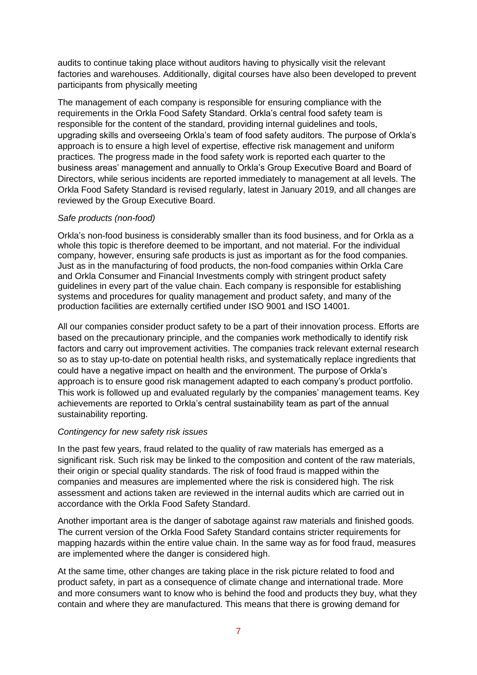audits to continue taking place without auditors having to physically visit the relevant factories and warehouses. Additionally, digital courses have also been developed to prevent participants from physically meeting

The management of each company is responsible for ensuring compliance with the requirements in the Orkla Food Safety Standard. Orkla's central food safety team is responsible for the content of the standard, providing internal guidelines and tools, upgrading skills and overseeing Orkla's team of food safety auditors. The purpose of Orkla's approach is to ensure a high level of expertise, effective risk management and uniform practices. The progress made in the food safety work is reported each quarter to the business areas' management and annually to Orkla's Group Executive Board and Board of Directors, while serious incidents are reported immediately to management at all levels. The Orkla Food Safety Standard is revised regularly, latest in January 2019, and all changes are reviewed by the Group Executive Board.

#### *Safe products (non-food)*

Orkla's non-food business is considerably smaller than its food business, and for Orkla as a whole this topic is therefore deemed to be important, and not material. For the individual company, however, ensuring safe products is just as important as for the food companies. Just as in the manufacturing of food products, the non-food companies within Orkla Care and Orkla Consumer and Financial Investments comply with stringent product safety guidelines in every part of the value chain. Each company is responsible for establishing systems and procedures for quality management and product safety, and many of the production facilities are externally certified under ISO 9001 and ISO 14001.

All our companies consider product safety to be a part of their innovation process. Efforts are based on the precautionary principle, and the companies work methodically to identify risk factors and carry out improvement activities. The companies track relevant external research so as to stay up-to-date on potential health risks, and systematically replace ingredients that could have a negative impact on health and the environment. The purpose of Orkla's approach is to ensure good risk management adapted to each company's product portfolio. This work is followed up and evaluated regularly by the companies' management teams. Key achievements are reported to Orkla's central sustainability team as part of the annual sustainability reporting.

#### *Contingency for new safety risk issues*

In the past few years, fraud related to the quality of raw materials has emerged as a significant risk. Such risk may be linked to the composition and content of the raw materials, their origin or special quality standards. The risk of food fraud is mapped within the companies and measures are implemented where the risk is considered high. The risk assessment and actions taken are reviewed in the internal audits which are carried out in accordance with the Orkla Food Safety Standard.

Another important area is the danger of sabotage against raw materials and finished goods. The current version of the Orkla Food Safety Standard contains stricter requirements for mapping hazards within the entire value chain. In the same way as for food fraud, measures are implemented where the danger is considered high.

At the same time, other changes are taking place in the risk picture related to food and product safety, in part as a consequence of climate change and international trade. More and more consumers want to know who is behind the food and products they buy, what they contain and where they are manufactured. This means that there is growing demand for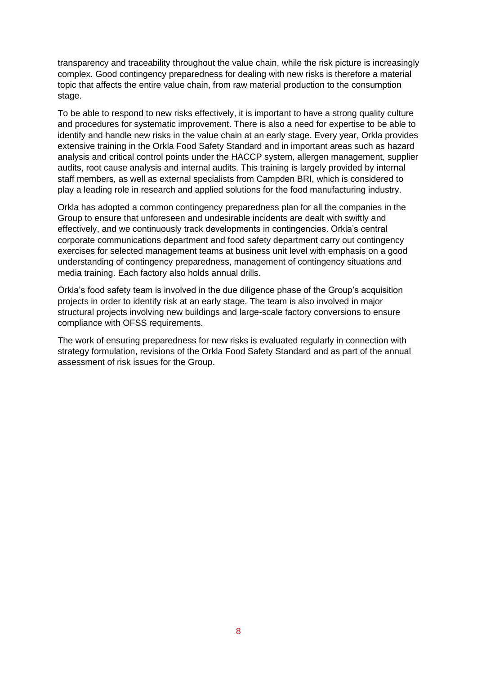transparency and traceability throughout the value chain, while the risk picture is increasingly complex. Good contingency preparedness for dealing with new risks is therefore a material topic that affects the entire value chain, from raw material production to the consumption stage.

To be able to respond to new risks effectively, it is important to have a strong quality culture and procedures for systematic improvement. There is also a need for expertise to be able to identify and handle new risks in the value chain at an early stage. Every year, Orkla provides extensive training in the Orkla Food Safety Standard and in important areas such as hazard analysis and critical control points under the HACCP system, allergen management, supplier audits, root cause analysis and internal audits. This training is largely provided by internal staff members, as well as external specialists from Campden BRI, which is considered to play a leading role in research and applied solutions for the food manufacturing industry.

Orkla has adopted a common contingency preparedness plan for all the companies in the Group to ensure that unforeseen and undesirable incidents are dealt with swiftly and effectively, and we continuously track developments in contingencies. Orkla's central corporate communications department and food safety department carry out contingency exercises for selected management teams at business unit level with emphasis on a good understanding of contingency preparedness, management of contingency situations and media training. Each factory also holds annual drills.

Orkla's food safety team is involved in the due diligence phase of the Group's acquisition projects in order to identify risk at an early stage. The team is also involved in major structural projects involving new buildings and large-scale factory conversions to ensure compliance with OFSS requirements.

The work of ensuring preparedness for new risks is evaluated regularly in connection with strategy formulation, revisions of the Orkla Food Safety Standard and as part of the annual assessment of risk issues for the Group.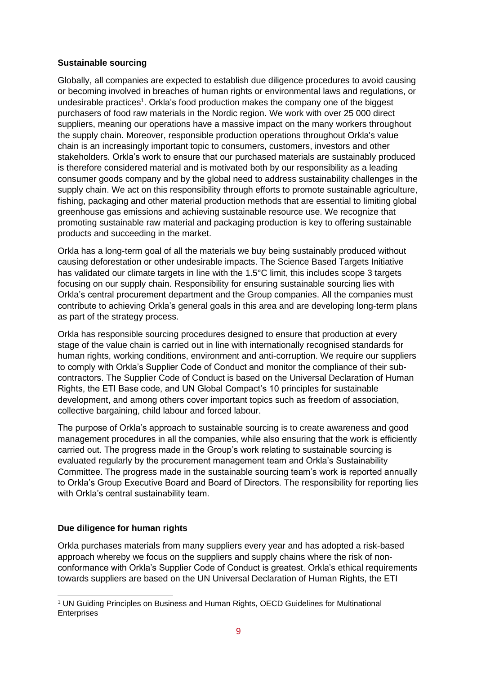### **Sustainable sourcing**

Globally, all companies are expected to establish due diligence procedures to avoid causing or becoming involved in breaches of human rights or environmental laws and regulations, or undesirable practices<sup>1</sup>. Orkla's food production makes the company one of the biggest purchasers of food raw materials in the Nordic region. We work with over 25 000 direct suppliers, meaning our operations have a massive impact on the many workers throughout the supply chain. Moreover, responsible production operations throughout Orkla's value chain is an increasingly important topic to consumers, customers, investors and other stakeholders. Orkla's work to ensure that our purchased materials are sustainably produced is therefore considered material and is motivated both by our responsibility as a leading consumer goods company and by the global need to address sustainability challenges in the supply chain. We act on this responsibility through efforts to promote sustainable agriculture, fishing, packaging and other material production methods that are essential to limiting global greenhouse gas emissions and achieving sustainable resource use. We recognize that promoting sustainable raw material and packaging production is key to offering sustainable products and succeeding in the market.

Orkla has a long-term goal of all the materials we buy being sustainably produced without causing deforestation or other undesirable impacts. The Science Based Targets Initiative has validated our climate targets in line with the 1.5°C limit, this includes scope 3 targets focusing on our supply chain. Responsibility for ensuring sustainable sourcing lies with Orkla's central procurement department and the Group companies. All the companies must contribute to achieving Orkla's general goals in this area and are developing long-term plans as part of the strategy process.

Orkla has responsible sourcing procedures designed to ensure that production at every stage of the value chain is carried out in line with internationally recognised standards for human rights, working conditions, environment and anti-corruption. We require our suppliers to comply with Orkla's Supplier Code of Conduct and monitor the compliance of their subcontractors. The Supplier Code of Conduct is based on the Universal Declaration of Human Rights, the ETI Base code, and UN Global Compact's 10 principles for sustainable development, and among others cover important topics such as freedom of association, collective bargaining, child labour and forced labour.

The purpose of Orkla's approach to sustainable sourcing is to create awareness and good management procedures in all the companies, while also ensuring that the work is efficiently carried out. The progress made in the Group's work relating to sustainable sourcing is evaluated regularly by the procurement management team and Orkla's Sustainability Committee. The progress made in the sustainable sourcing team's work is reported annually to Orkla's Group Executive Board and Board of Directors. The responsibility for reporting lies with Orkla's central sustainability team.

## **Due diligence for human rights**

Orkla purchases materials from many suppliers every year and has adopted a risk-based approach whereby we focus on the suppliers and supply chains where the risk of nonconformance with Orkla's Supplier Code of Conduct is greatest. Orkla's ethical requirements towards suppliers are based on the UN Universal Declaration of Human Rights, the ETI

<sup>1</sup> UN Guiding Principles on Business and Human Rights, OECD Guidelines for Multinational **Enterprises**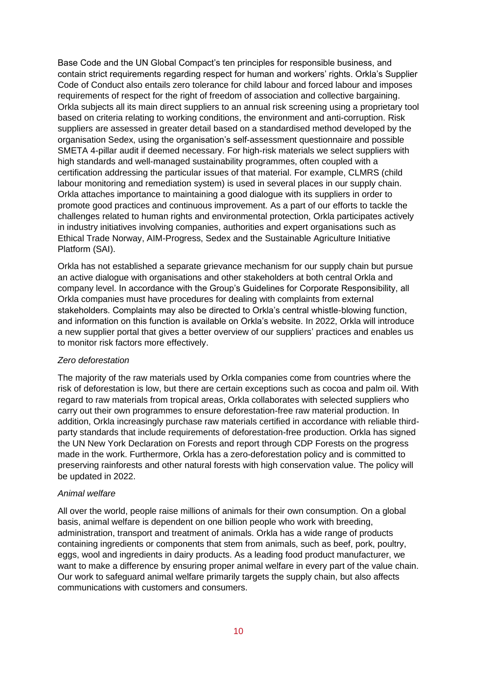Base Code and the UN Global Compact's ten principles for responsible business, and contain strict requirements regarding respect for human and workers' rights. Orkla's Supplier Code of Conduct also entails zero tolerance for child labour and forced labour and imposes requirements of respect for the right of freedom of association and collective bargaining. Orkla subjects all its main direct suppliers to an annual risk screening using a proprietary tool based on criteria relating to working conditions, the environment and anti-corruption. Risk suppliers are assessed in greater detail based on a standardised method developed by the organisation Sedex, using the organisation's self-assessment questionnaire and possible SMETA 4-pillar audit if deemed necessary. For high-risk materials we select suppliers with high standards and well-managed sustainability programmes, often coupled with a certification addressing the particular issues of that material. For example, CLMRS (child labour monitoring and remediation system) is used in several places in our supply chain. Orkla attaches importance to maintaining a good dialogue with its suppliers in order to promote good practices and continuous improvement. As a part of our efforts to tackle the challenges related to human rights and environmental protection, Orkla participates actively in industry initiatives involving companies, authorities and expert organisations such as Ethical Trade Norway, AIM-Progress, Sedex and the Sustainable Agriculture Initiative Platform (SAI).

Orkla has not established a separate grievance mechanism for our supply chain but pursue an active dialogue with organisations and other stakeholders at both central Orkla and company level. In accordance with the Group's Guidelines for Corporate Responsibility, all Orkla companies must have procedures for dealing with complaints from external stakeholders. Complaints may also be directed to Orkla's central whistle-blowing function, and information on this function is available on Orkla's website. In 2022, Orkla will introduce a new supplier portal that gives a better overview of our suppliers' practices and enables us to monitor risk factors more effectively.

#### *Zero deforestation*

The majority of the raw materials used by Orkla companies come from countries where the risk of deforestation is low, but there are certain exceptions such as cocoa and palm oil. With regard to raw materials from tropical areas, Orkla collaborates with selected suppliers who carry out their own programmes to ensure deforestation-free raw material production. In addition, Orkla increasingly purchase raw materials certified in accordance with reliable thirdparty standards that include requirements of deforestation-free production. Orkla has signed the UN New York Declaration on Forests and report through CDP Forests on the progress made in the work. Furthermore, Orkla has a zero-deforestation policy and is committed to preserving rainforests and other natural forests with high conservation value. The policy will be updated in 2022.

#### *Animal welfare*

All over the world, people raise millions of animals for their own consumption. On a global basis, animal welfare is dependent on one billion people who work with breeding, administration, transport and treatment of animals. Orkla has a wide range of products containing ingredients or components that stem from animals, such as beef, pork, poultry, eggs, wool and ingredients in dairy products. As a leading food product manufacturer, we want to make a difference by ensuring proper animal welfare in every part of the value chain. Our work to safeguard animal welfare primarily targets the supply chain, but also affects communications with customers and consumers.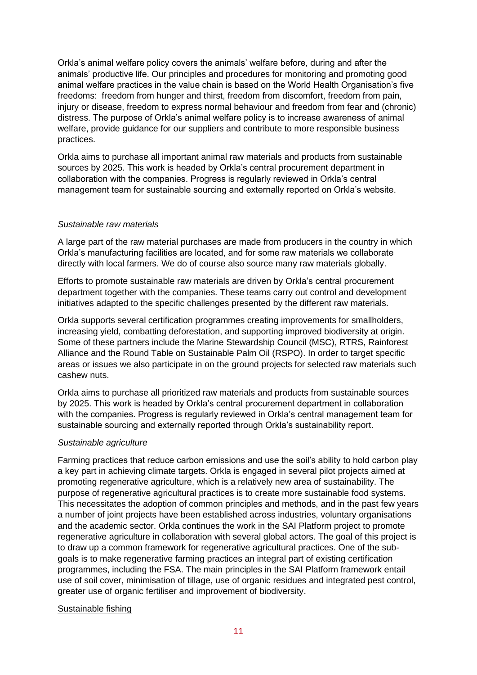Orkla's animal welfare policy covers the animals' welfare before, during and after the animals' productive life. Our principles and procedures for monitoring and promoting good animal welfare practices in the value chain is based on the World Health Organisation's five freedoms: freedom from hunger and thirst, freedom from discomfort, freedom from pain, injury or disease, freedom to express normal behaviour and freedom from fear and (chronic) distress. The purpose of Orkla's animal welfare policy is to increase awareness of animal welfare, provide guidance for our suppliers and contribute to more responsible business practices.

Orkla aims to purchase all important animal raw materials and products from sustainable sources by 2025. This work is headed by Orkla's central procurement department in collaboration with the companies. Progress is regularly reviewed in Orkla's central management team for sustainable sourcing and externally reported on Orkla's website.

#### *Sustainable raw materials*

A large part of the raw material purchases are made from producers in the country in which Orkla's manufacturing facilities are located, and for some raw materials we collaborate directly with local farmers. We do of course also source many raw materials globally.

Efforts to promote sustainable raw materials are driven by Orkla's central procurement department together with the companies. These teams carry out control and development initiatives adapted to the specific challenges presented by the different raw materials.

Orkla supports several certification programmes creating improvements for smallholders, increasing yield, combatting deforestation, and supporting improved biodiversity at origin. Some of these partners include the Marine Stewardship Council (MSC), RTRS, Rainforest Alliance and the Round Table on Sustainable Palm Oil (RSPO). In order to target specific areas or issues we also participate in on the ground projects for selected raw materials such cashew nuts.

Orkla aims to purchase all prioritized raw materials and products from sustainable sources by 2025. This work is headed by Orkla's central procurement department in collaboration with the companies. Progress is regularly reviewed in Orkla's central management team for sustainable sourcing and externally reported through Orkla's sustainability report.

#### *Sustainable agriculture*

Farming practices that reduce carbon emissions and use the soil's ability to hold carbon play a key part in achieving climate targets. Orkla is engaged in several pilot projects aimed at promoting regenerative agriculture, which is a relatively new area of sustainability. The purpose of regenerative agricultural practices is to create more sustainable food systems. This necessitates the adoption of common principles and methods, and in the past few years a number of joint projects have been established across industries, voluntary organisations and the academic sector. Orkla continues the work in the SAI Platform project to promote regenerative agriculture in collaboration with several global actors. The goal of this project is to draw up a common framework for regenerative agricultural practices. One of the subgoals is to make regenerative farming practices an integral part of existing certification programmes, including the FSA. The main principles in the SAI Platform framework entail use of soil cover, minimisation of tillage, use of organic residues and integrated pest control, greater use of organic fertiliser and improvement of biodiversity.

#### Sustainable fishing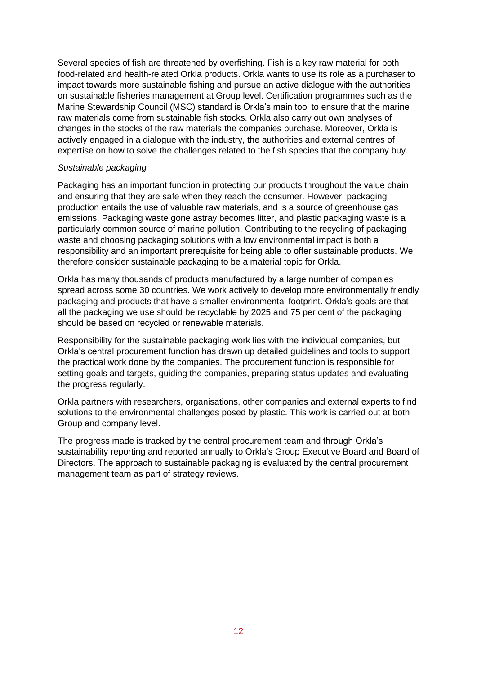Several species of fish are threatened by overfishing. Fish is a key raw material for both food-related and health-related Orkla products. Orkla wants to use its role as a purchaser to impact towards more sustainable fishing and pursue an active dialogue with the authorities on sustainable fisheries management at Group level. Certification programmes such as the Marine Stewardship Council (MSC) standard is Orkla's main tool to ensure that the marine raw materials come from sustainable fish stocks. Orkla also carry out own analyses of changes in the stocks of the raw materials the companies purchase. Moreover, Orkla is actively engaged in a dialogue with the industry, the authorities and external centres of expertise on how to solve the challenges related to the fish species that the company buy.

#### *Sustainable packaging*

Packaging has an important function in protecting our products throughout the value chain and ensuring that they are safe when they reach the consumer. However, packaging production entails the use of valuable raw materials, and is a source of greenhouse gas emissions. Packaging waste gone astray becomes litter, and plastic packaging waste is a particularly common source of marine pollution. Contributing to the recycling of packaging waste and choosing packaging solutions with a low environmental impact is both a responsibility and an important prerequisite for being able to offer sustainable products. We therefore consider sustainable packaging to be a material topic for Orkla.

Orkla has many thousands of products manufactured by a large number of companies spread across some 30 countries. We work actively to develop more environmentally friendly packaging and products that have a smaller environmental footprint. Orkla's goals are that all the packaging we use should be recyclable by 2025 and 75 per cent of the packaging should be based on recycled or renewable materials.

Responsibility for the sustainable packaging work lies with the individual companies, but Orkla's central procurement function has drawn up detailed guidelines and tools to support the practical work done by the companies. The procurement function is responsible for setting goals and targets, guiding the companies, preparing status updates and evaluating the progress regularly.

Orkla partners with researchers, organisations, other companies and external experts to find solutions to the environmental challenges posed by plastic. This work is carried out at both Group and company level.

The progress made is tracked by the central procurement team and through Orkla's sustainability reporting and reported annually to Orkla's Group Executive Board and Board of Directors. The approach to sustainable packaging is evaluated by the central procurement management team as part of strategy reviews.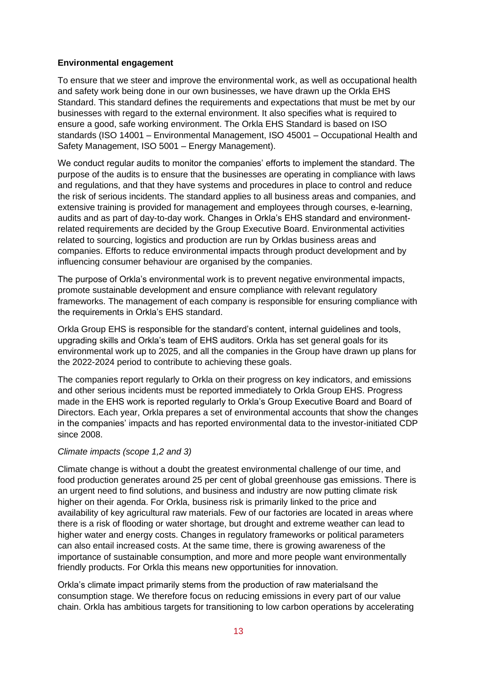## **Environmental engagement**

To ensure that we steer and improve the environmental work, as well as occupational health and safety work being done in our own businesses, we have drawn up the Orkla EHS Standard. This standard defines the requirements and expectations that must be met by our businesses with regard to the external environment. It also specifies what is required to ensure a good, safe working environment. The Orkla EHS Standard is based on ISO standards (ISO 14001 – Environmental Management, ISO 45001 – Occupational Health and Safety Management, ISO 5001 – Energy Management).

We conduct regular audits to monitor the companies' efforts to implement the standard. The purpose of the audits is to ensure that the businesses are operating in compliance with laws and regulations, and that they have systems and procedures in place to control and reduce the risk of serious incidents. The standard applies to all business areas and companies, and extensive training is provided for management and employees through courses, e-learning, audits and as part of day-to-day work. Changes in Orkla's EHS standard and environmentrelated requirements are decided by the Group Executive Board. Environmental activities related to sourcing, logistics and production are run by Orklas business areas and companies. Efforts to reduce environmental impacts through product development and by influencing consumer behaviour are organised by the companies.

The purpose of Orkla's environmental work is to prevent negative environmental impacts, promote sustainable development and ensure compliance with relevant regulatory frameworks. The management of each company is responsible for ensuring compliance with the requirements in Orkla's EHS standard.

Orkla Group EHS is responsible for the standard's content, internal guidelines and tools, upgrading skills and Orkla's team of EHS auditors. Orkla has set general goals for its environmental work up to 2025, and all the companies in the Group have drawn up plans for the 2022-2024 period to contribute to achieving these goals.

The companies report regularly to Orkla on their progress on key indicators, and emissions and other serious incidents must be reported immediately to Orkla Group EHS. Progress made in the EHS work is reported regularly to Orkla's Group Executive Board and Board of Directors. Each year, Orkla prepares a set of environmental accounts that show the changes in the companies' impacts and has reported environmental data to the investor-initiated CDP since 2008.

#### *Climate impacts (scope 1,2 and 3)*

Climate change is without a doubt the greatest environmental challenge of our time, and food production generates around 25 per cent of global greenhouse gas emissions. There is an urgent need to find solutions, and business and industry are now putting climate risk higher on their agenda. For Orkla, business risk is primarily linked to the price and availability of key agricultural raw materials. Few of our factories are located in areas where there is a risk of flooding or water shortage, but drought and extreme weather can lead to higher water and energy costs. Changes in regulatory frameworks or political parameters can also entail increased costs. At the same time, there is growing awareness of the importance of sustainable consumption, and more and more people want environmentally friendly products. For Orkla this means new opportunities for innovation.

Orkla's climate impact primarily stems from the production of raw materialsand the consumption stage. We therefore focus on reducing emissions in every part of our value chain. Orkla has ambitious targets for transitioning to low carbon operations by accelerating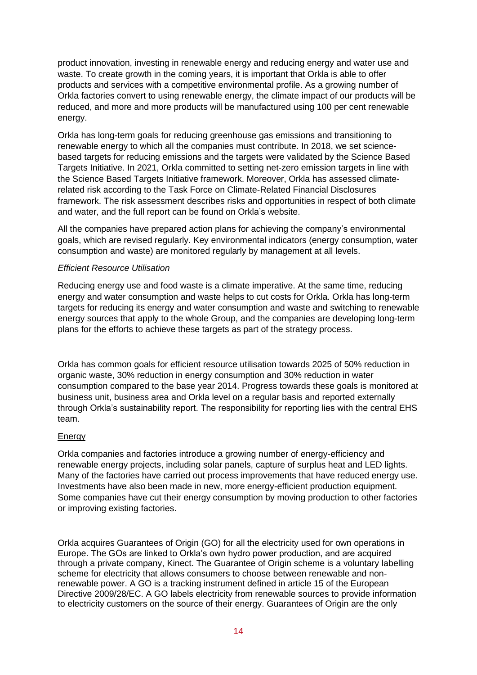product innovation, investing in renewable energy and reducing energy and water use and waste. To create growth in the coming years, it is important that Orkla is able to offer products and services with a competitive environmental profile. As a growing number of Orkla factories convert to using renewable energy, the climate impact of our products will be reduced, and more and more products will be manufactured using 100 per cent renewable energy.

Orkla has long-term goals for reducing greenhouse gas emissions and transitioning to renewable energy to which all the companies must contribute. In 2018, we set sciencebased targets for reducing emissions and the targets were validated by the Science Based Targets Initiative. In 2021, Orkla committed to setting net-zero emission targets in line with the Science Based Targets Initiative framework. Moreover, Orkla has assessed climaterelated risk according to the Task Force on Climate-Related Financial Disclosures framework. The risk assessment describes risks and opportunities in respect of both climate and water, and the full report can be found on Orkla's website.

All the companies have prepared action plans for achieving the company's environmental goals, which are revised regularly. Key environmental indicators (energy consumption, water consumption and waste) are monitored regularly by management at all levels.

#### *Efficient Resource Utilisation*

Reducing energy use and food waste is a climate imperative. At the same time, reducing energy and water consumption and waste helps to cut costs for Orkla. Orkla has long-term targets for reducing its energy and water consumption and waste and switching to renewable energy sources that apply to the whole Group, and the companies are developing long-term plans for the efforts to achieve these targets as part of the strategy process.

Orkla has common goals for efficient resource utilisation towards 2025 of 50% reduction in organic waste, 30% reduction in energy consumption and 30% reduction in water consumption compared to the base year 2014. Progress towards these goals is monitored at business unit, business area and Orkla level on a regular basis and reported externally through Orkla's sustainability report. The responsibility for reporting lies with the central EHS team.

#### **Energy**

Orkla companies and factories introduce a growing number of energy-efficiency and renewable energy projects, including solar panels, capture of surplus heat and LED lights. Many of the factories have carried out process improvements that have reduced energy use. Investments have also been made in new, more energy-efficient production equipment. Some companies have cut their energy consumption by moving production to other factories or improving existing factories.

Orkla acquires Guarantees of Origin (GO) for all the electricity used for own operations in Europe. The GOs are linked to Orkla's own hydro power production, and are acquired through a private company, Kinect. The Guarantee of Origin scheme is a voluntary labelling scheme for electricity that allows consumers to choose between renewable and nonrenewable power. A GO is a tracking instrument defined in article 15 of the European Directive 2009/28/EC. A GO labels electricity from renewable sources to provide information to electricity customers on the source of their energy. Guarantees of Origin are the only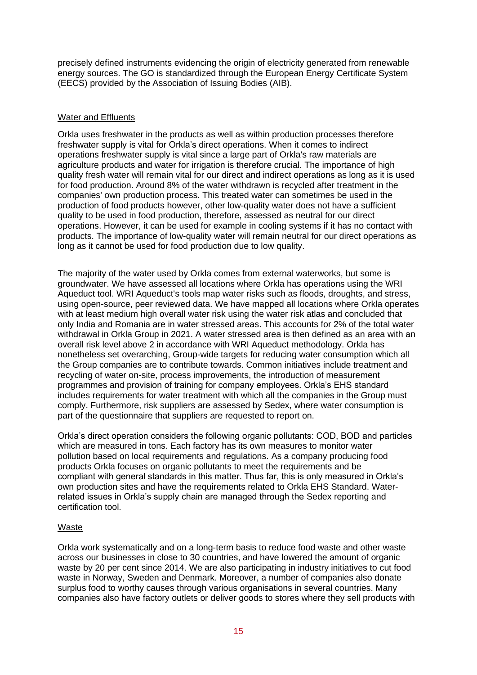precisely defined instruments evidencing the origin of electricity generated from renewable energy sources. The GO is standardized through the European Energy Certificate System (EECS) provided by the Association of Issuing Bodies (AIB).

## Water and Effluents

Orkla uses freshwater in the products as well as within production processes therefore freshwater supply is vital for Orkla's direct operations. When it comes to indirect operations freshwater supply is vital since a large part of Orkla's raw materials are agriculture products and water for irrigation is therefore crucial. The importance of high quality fresh water will remain vital for our direct and indirect operations as long as it is used for food production. Around 8% of the water withdrawn is recycled after treatment in the companies' own production process. This treated water can sometimes be used in the production of food products however, other low-quality water does not have a sufficient quality to be used in food production, therefore, assessed as neutral for our direct operations. However, it can be used for example in cooling systems if it has no contact with products. The importance of low-quality water will remain neutral for our direct operations as long as it cannot be used for food production due to low quality.

The majority of the water used by Orkla comes from external waterworks, but some is groundwater. We have assessed all locations where Orkla has operations using the WRI Aqueduct tool. WRI Aqueduct's tools map water risks such as floods, droughts, and stress, using open-source, peer reviewed data. We have mapped all locations where Orkla operates with at least medium high overall water risk using the water risk atlas and concluded that only India and Romania are in water stressed areas. This accounts for 2% of the total water withdrawal in Orkla Group in 2021. A water stressed area is then defined as an area with an overall risk level above 2 in accordance with WRI Aqueduct methodology. Orkla has nonetheless set overarching, Group-wide targets for reducing water consumption which all the Group companies are to contribute towards. Common initiatives include treatment and recycling of water on-site, process improvements, the introduction of measurement programmes and provision of training for company employees. Orkla's EHS standard includes requirements for water treatment with which all the companies in the Group must comply. Furthermore, risk suppliers are assessed by Sedex, where water consumption is part of the questionnaire that suppliers are requested to report on.

Orkla's direct operation considers the following organic pollutants: COD, BOD and particles which are measured in tons. Each factory has its own measures to monitor water pollution based on local requirements and regulations. As a company producing food products Orkla focuses on organic pollutants to meet the requirements and be compliant with general standards in this matter. Thus far, this is only measured in Orkla's own production sites and have the requirements related to Orkla EHS Standard. Waterrelated issues in Orkla's supply chain are managed through the Sedex reporting and certification tool.

## Waste

Orkla work systematically and on a long-term basis to reduce food waste and other waste across our businesses in close to 30 countries, and have lowered the amount of organic waste by 20 per cent since 2014. We are also participating in industry initiatives to cut food waste in Norway, Sweden and Denmark. Moreover, a number of companies also donate surplus food to worthy causes through various organisations in several countries. Many companies also have factory outlets or deliver goods to stores where they sell products with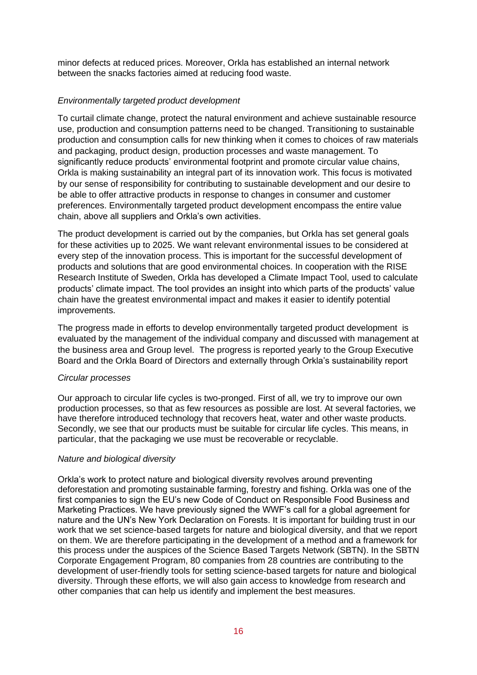minor defects at reduced prices. Moreover, Orkla has established an internal network between the snacks factories aimed at reducing food waste.

## *Environmentally targeted product development*

To curtail climate change, protect the natural environment and achieve sustainable resource use, production and consumption patterns need to be changed. Transitioning to sustainable production and consumption calls for new thinking when it comes to choices of raw materials and packaging, product design, production processes and waste management. To significantly reduce products' environmental footprint and promote circular value chains, Orkla is making sustainability an integral part of its innovation work. This focus is motivated by our sense of responsibility for contributing to sustainable development and our desire to be able to offer attractive products in response to changes in consumer and customer preferences. Environmentally targeted product development encompass the entire value chain, above all suppliers and Orkla's own activities.

The product development is carried out by the companies, but Orkla has set general goals for these activities up to 2025. We want relevant environmental issues to be considered at every step of the innovation process. This is important for the successful development of products and solutions that are good environmental choices. In cooperation with the RISE Research Institute of Sweden, Orkla has developed a Climate Impact Tool, used to calculate products' climate impact. The tool provides an insight into which parts of the products' value chain have the greatest environmental impact and makes it easier to identify potential improvements.

The progress made in efforts to develop environmentally targeted product development is evaluated by the management of the individual company and discussed with management at the business area and Group level. The progress is reported yearly to the Group Executive Board and the Orkla Board of Directors and externally through Orkla's sustainability report

#### *Circular processes*

Our approach to circular life cycles is two-pronged. First of all, we try to improve our own production processes, so that as few resources as possible are lost. At several factories, we have therefore introduced technology that recovers heat, water and other waste products. Secondly, we see that our products must be suitable for circular life cycles. This means, in particular, that the packaging we use must be recoverable or recyclable.

#### *Nature and biological diversity*

Orkla's work to protect nature and biological diversity revolves around preventing deforestation and promoting sustainable farming, forestry and fishing. Orkla was one of the first companies to sign the EU's new Code of Conduct on Responsible Food Business and Marketing Practices. We have previously signed the WWF's call for a global agreement for nature and the UN's New York Declaration on Forests. It is important for building trust in our work that we set science-based targets for nature and biological diversity, and that we report on them. We are therefore participating in the development of a method and a framework for this process under the auspices of the Science Based Targets Network (SBTN). In the SBTN Corporate Engagement Program, 80 companies from 28 countries are contributing to the development of user-friendly tools for setting science-based targets for nature and biological diversity. Through these efforts, we will also gain access to knowledge from research and other companies that can help us identify and implement the best measures.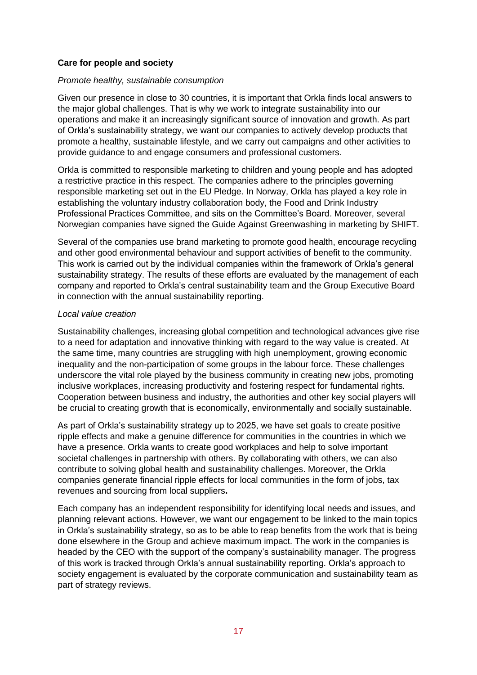## **Care for people and society**

#### *Promote healthy, sustainable consumption*

Given our presence in close to 30 countries, it is important that Orkla finds local answers to the major global challenges. That is why we work to integrate sustainability into our operations and make it an increasingly significant source of innovation and growth. As part of Orkla's sustainability strategy, we want our companies to actively develop products that promote a healthy, sustainable lifestyle, and we carry out campaigns and other activities to provide guidance to and engage consumers and professional customers.

Orkla is committed to responsible marketing to children and young people and has adopted a restrictive practice in this respect. The companies adhere to the principles governing responsible marketing set out in the EU Pledge. In Norway, Orkla has played a key role in establishing the voluntary industry collaboration body, the Food and Drink Industry Professional Practices Committee, and sits on the Committee's Board. Moreover, several Norwegian companies have signed the Guide Against Greenwashing in marketing by SHIFT.

Several of the companies use brand marketing to promote good health, encourage recycling and other good environmental behaviour and support activities of benefit to the community. This work is carried out by the individual companies within the framework of Orkla's general sustainability strategy. The results of these efforts are evaluated by the management of each company and reported to Orkla's central sustainability team and the Group Executive Board in connection with the annual sustainability reporting.

#### *Local value creation*

Sustainability challenges, increasing global competition and technological advances give rise to a need for adaptation and innovative thinking with regard to the way value is created. At the same time, many countries are struggling with high unemployment, growing economic inequality and the non-participation of some groups in the labour force. These challenges underscore the vital role played by the business community in creating new jobs, promoting inclusive workplaces, increasing productivity and fostering respect for fundamental rights. Cooperation between business and industry, the authorities and other key social players will be crucial to creating growth that is economically, environmentally and socially sustainable.

As part of Orkla's sustainability strategy up to 2025, we have set goals to create positive ripple effects and make a genuine difference for communities in the countries in which we have a presence. Orkla wants to create good workplaces and help to solve important societal challenges in partnership with others. By collaborating with others, we can also contribute to solving global health and sustainability challenges. Moreover, the Orkla companies generate financial ripple effects for local communities in the form of jobs, tax revenues and sourcing from local suppliers**.**

Each company has an independent responsibility for identifying local needs and issues, and planning relevant actions. However, we want our engagement to be linked to the main topics in Orkla's sustainability strategy, so as to be able to reap benefits from the work that is being done elsewhere in the Group and achieve maximum impact. The work in the companies is headed by the CEO with the support of the company's sustainability manager. The progress of this work is tracked through Orkla's annual sustainability reporting. Orkla's approach to society engagement is evaluated by the corporate communication and sustainability team as part of strategy reviews.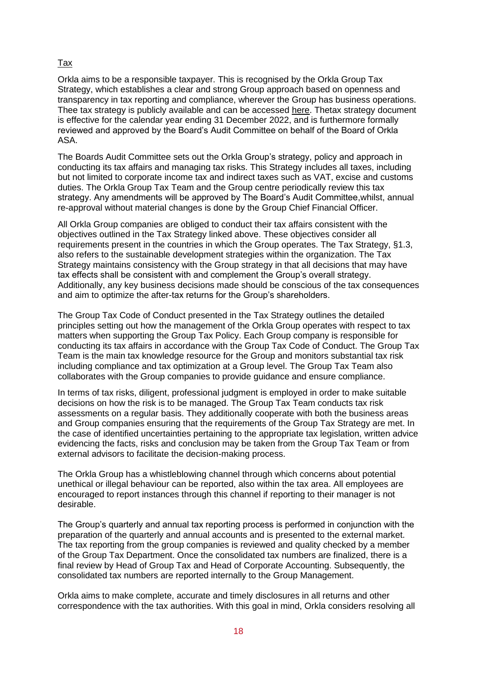## Tax

Orkla aims to be a responsible taxpayer. This is recognised by the Orkla Group Tax Strategy, which establishes a clear and strong Group approach based on openness and transparency in tax reporting and compliance, wherever the Group has business operations. Thee tax strategy is publicly available and can be accessed [here.](https://www.orkla.com/sustainability/orklas-corporate-responsibility/7844-2/) Thetax strategy document is effective for the calendar year ending 31 December 2022, and is furthermore formally reviewed and approved by the Board's Audit Committee on behalf of the Board of Orkla ASA.

The Boards Audit Committee sets out the Orkla Group's strategy, policy and approach in conducting its tax affairs and managing tax risks. This Strategy includes all taxes, including but not limited to corporate income tax and indirect taxes such as VAT, excise and customs duties. The Orkla Group Tax Team and the Group centre periodically review this tax strategy. Any amendments will be approved by The Board's Audit Committee,whilst, annual re-approval without material changes is done by the Group Chief Financial Officer.

All Orkla Group companies are obliged to conduct their tax affairs consistent with the objectives outlined in the Tax Strategy linked above. These objectives consider all requirements present in the countries in which the Group operates. The Tax Strategy, §1.3, also refers to the sustainable development strategies within the organization. The Tax Strategy maintains consistency with the Group strategy in that all decisions that may have tax effects shall be consistent with and complement the Group's overall strategy. Additionally, any key business decisions made should be conscious of the tax consequences and aim to optimize the after-tax returns for the Group's shareholders.

The Group Tax Code of Conduct presented in the Tax Strategy outlines the detailed principles setting out how the management of the Orkla Group operates with respect to tax matters when supporting the Group Tax Policy. Each Group company is responsible for conducting its tax affairs in accordance with the Group Tax Code of Conduct. The Group Tax Team is the main tax knowledge resource for the Group and monitors substantial tax risk including compliance and tax optimization at a Group level. The Group Tax Team also collaborates with the Group companies to provide guidance and ensure compliance.

In terms of tax risks, diligent, professional judgment is employed in order to make suitable decisions on how the risk is to be managed. The Group Tax Team conducts tax risk assessments on a regular basis. They additionally cooperate with both the business areas and Group companies ensuring that the requirements of the Group Tax Strategy are met. In the case of identified uncertainties pertaining to the appropriate tax legislation, written advice evidencing the facts, risks and conclusion may be taken from the Group Tax Team or from external advisors to facilitate the decision-making process.

The Orkla Group has a whistleblowing channel through which concerns about potential unethical or illegal behaviour can be reported, also within the tax area. All employees are encouraged to report instances through this channel if reporting to their manager is not desirable.

The Group's quarterly and annual tax reporting process is performed in conjunction with the preparation of the quarterly and annual accounts and is presented to the external market. The tax reporting from the group companies is reviewed and quality checked by a member of the Group Tax Department. Once the consolidated tax numbers are finalized, there is a final review by Head of Group Tax and Head of Corporate Accounting. Subsequently, the consolidated tax numbers are reported internally to the Group Management.

Orkla aims to make complete, accurate and timely disclosures in all returns and other correspondence with the tax authorities. With this goal in mind, Orkla considers resolving all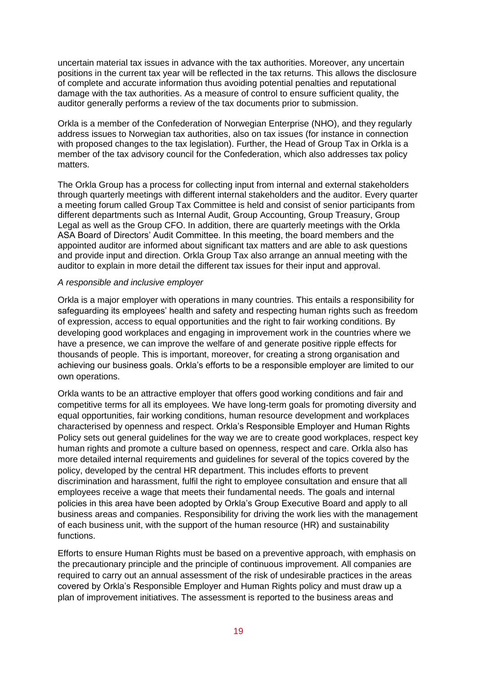uncertain material tax issues in advance with the tax authorities. Moreover, any uncertain positions in the current tax year will be reflected in the tax returns. This allows the disclosure of complete and accurate information thus avoiding potential penalties and reputational damage with the tax authorities. As a measure of control to ensure sufficient quality, the auditor generally performs a review of the tax documents prior to submission.

Orkla is a member of the Confederation of Norwegian Enterprise (NHO), and they regularly address issues to Norwegian tax authorities, also on tax issues (for instance in connection with proposed changes to the tax legislation). Further, the Head of Group Tax in Orkla is a member of the tax advisory council for the Confederation, which also addresses tax policy matters.

The Orkla Group has a process for collecting input from internal and external stakeholders through quarterly meetings with different internal stakeholders and the auditor. Every quarter a meeting forum called Group Tax Committee is held and consist of senior participants from different departments such as Internal Audit, Group Accounting, Group Treasury, Group Legal as well as the Group CFO. In addition, there are quarterly meetings with the Orkla ASA Board of Directors' Audit Committee. In this meeting, the board members and the appointed auditor are informed about significant tax matters and are able to ask questions and provide input and direction. Orkla Group Tax also arrange an annual meeting with the auditor to explain in more detail the different tax issues for their input and approval.

#### *A responsible and inclusive employer*

Orkla is a major employer with operations in many countries. This entails a responsibility for safeguarding its employees' health and safety and respecting human rights such as freedom of expression, access to equal opportunities and the right to fair working conditions. By developing good workplaces and engaging in improvement work in the countries where we have a presence, we can improve the welfare of and generate positive ripple effects for thousands of people. This is important, moreover, for creating a strong organisation and achieving our business goals. Orkla's efforts to be a responsible employer are limited to our own operations.

Orkla wants to be an attractive employer that offers good working conditions and fair and competitive terms for all its employees. We have long-term goals for promoting diversity and equal opportunities, fair working conditions, human resource development and workplaces characterised by openness and respect. Orkla's Responsible Employer and Human Rights Policy sets out general guidelines for the way we are to create good workplaces, respect key human rights and promote a culture based on openness, respect and care. Orkla also has more detailed internal requirements and guidelines for several of the topics covered by the policy, developed by the central HR department. This includes efforts to prevent discrimination and harassment, fulfil the right to employee consultation and ensure that all employees receive a wage that meets their fundamental needs. The goals and internal policies in this area have been adopted by Orkla's Group Executive Board and apply to all business areas and companies. Responsibility for driving the work lies with the management of each business unit, with the support of the human resource (HR) and sustainability functions.

Efforts to ensure Human Rights must be based on a preventive approach, with emphasis on the precautionary principle and the principle of continuous improvement. All companies are required to carry out an annual assessment of the risk of undesirable practices in the areas covered by Orkla's Responsible Employer and Human Rights policy and must draw up a plan of improvement initiatives. The assessment is reported to the business areas and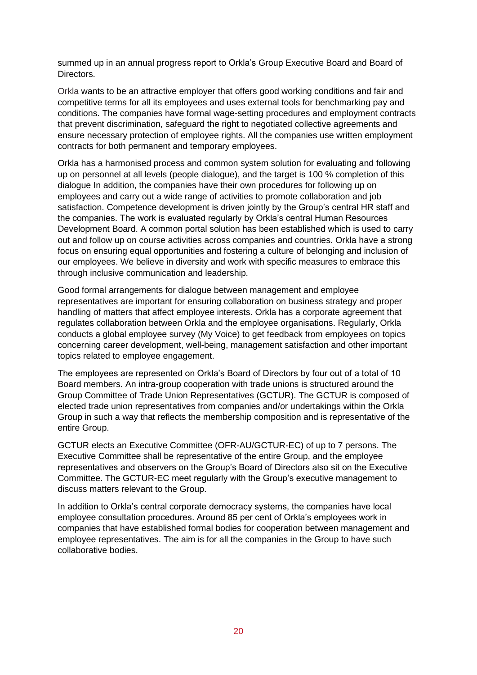summed up in an annual progress report to Orkla's Group Executive Board and Board of Directors.

Orkla wants to be an attractive employer that offers good working conditions and fair and competitive terms for all its employees and uses external tools for benchmarking pay and conditions. The companies have formal wage-setting procedures and employment contracts that prevent discrimination, safeguard the right to negotiated collective agreements and ensure necessary protection of employee rights. All the companies use written employment contracts for both permanent and temporary employees.

Orkla has a harmonised process and common system solution for evaluating and following up on personnel at all levels (people dialogue), and the target is 100 % completion of this dialogue In addition, the companies have their own procedures for following up on employees and carry out a wide range of activities to promote collaboration and job satisfaction. Competence development is driven jointly by the Group's central HR staff and the companies. The work is evaluated regularly by Orkla's central Human Resources Development Board. A common portal solution has been established which is used to carry out and follow up on course activities across companies and countries. Orkla have a strong focus on ensuring equal opportunities and fostering a culture of belonging and inclusion of our employees. We believe in diversity and work with specific measures to embrace this through inclusive communication and leadership.

Good formal arrangements for dialogue between management and employee representatives are important for ensuring collaboration on business strategy and proper handling of matters that affect employee interests. Orkla has a corporate agreement that regulates collaboration between Orkla and the employee organisations. Regularly, Orkla conducts a global employee survey (My Voice) to get feedback from employees on topics concerning career development, well-being, management satisfaction and other important topics related to employee engagement.

The employees are represented on Orkla's Board of Directors by four out of a total of 10 Board members. An intra-group cooperation with trade unions is structured around the Group Committee of Trade Union Representatives (GCTUR). The GCTUR is composed of elected trade union representatives from companies and/or undertakings within the Orkla Group in such a way that reflects the membership composition and is representative of the entire Group.

GCTUR elects an Executive Committee (OFR-AU/GCTUR-EC) of up to 7 persons. The Executive Committee shall be representative of the entire Group, and the employee representatives and observers on the Group's Board of Directors also sit on the Executive Committee. The GCTUR-EC meet regularly with the Group's executive management to discuss matters relevant to the Group.

In addition to Orkla's central corporate democracy systems, the companies have local employee consultation procedures. Around 85 per cent of Orkla's employees work in companies that have established formal bodies for cooperation between management and employee representatives. The aim is for all the companies in the Group to have such collaborative bodies.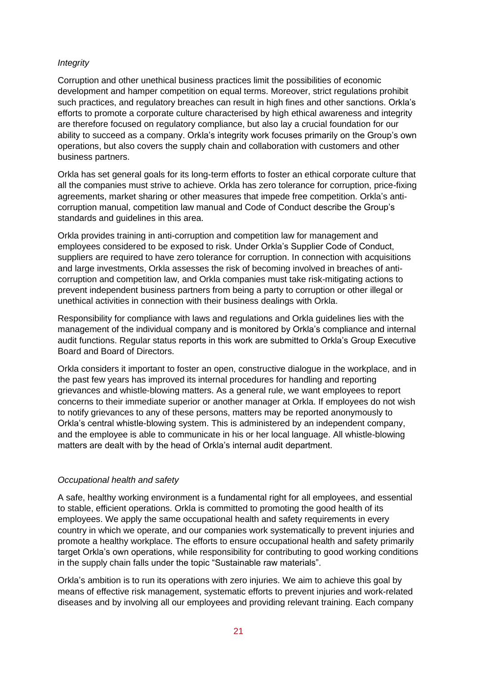### *Integrity*

Corruption and other unethical business practices limit the possibilities of economic development and hamper competition on equal terms. Moreover, strict regulations prohibit such practices, and regulatory breaches can result in high fines and other sanctions. Orkla's efforts to promote a corporate culture characterised by high ethical awareness and integrity are therefore focused on regulatory compliance, but also lay a crucial foundation for our ability to succeed as a company. Orkla's integrity work focuses primarily on the Group's own operations, but also covers the supply chain and collaboration with customers and other business partners.

Orkla has set general goals for its long-term efforts to foster an ethical corporate culture that all the companies must strive to achieve. Orkla has zero tolerance for corruption, price-fixing agreements, market sharing or other measures that impede free competition. Orkla's anticorruption manual, competition law manual and Code of Conduct describe the Group's standards and guidelines in this area.

Orkla provides training in anti-corruption and competition law for management and employees considered to be exposed to risk. Under Orkla's Supplier Code of Conduct, suppliers are required to have zero tolerance for corruption. In connection with acquisitions and large investments, Orkla assesses the risk of becoming involved in breaches of anticorruption and competition law, and Orkla companies must take risk-mitigating actions to prevent independent business partners from being a party to corruption or other illegal or unethical activities in connection with their business dealings with Orkla.

Responsibility for compliance with laws and regulations and Orkla guidelines lies with the management of the individual company and is monitored by Orkla's compliance and internal audit functions. Regular status reports in this work are submitted to Orkla's Group Executive Board and Board of Directors.

Orkla considers it important to foster an open, constructive dialogue in the workplace, and in the past few years has improved its internal procedures for handling and reporting grievances and whistle-blowing matters. As a general rule, we want employees to report concerns to their immediate superior or another manager at Orkla. If employees do not wish to notify grievances to any of these persons, matters may be reported anonymously to Orkla's central whistle-blowing system. This is administered by an independent company, and the employee is able to communicate in his or her local language. All whistle-blowing matters are dealt with by the head of Orkla's internal audit department.

#### *Occupational health and safety*

A safe, healthy working environment is a fundamental right for all employees, and essential to stable, efficient operations. Orkla is committed to promoting the good health of its employees. We apply the same occupational health and safety requirements in every country in which we operate, and our companies work systematically to prevent injuries and promote a healthy workplace. The efforts to ensure occupational health and safety primarily target Orkla's own operations, while responsibility for contributing to good working conditions in the supply chain falls under the topic "Sustainable raw materials".

Orkla's ambition is to run its operations with zero injuries. We aim to achieve this goal by means of effective risk management, systematic efforts to prevent injuries and work-related diseases and by involving all our employees and providing relevant training. Each company